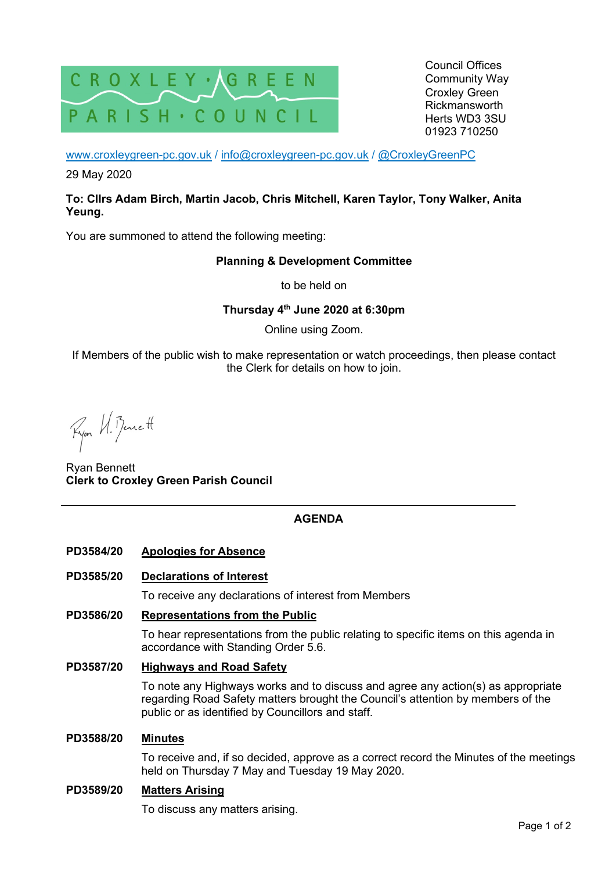

Council Offices Community Way Croxley Green Rickmansworth Herts WD3 3SU 01923 710250

www.croxleygreen-pc.gov.uk / info@croxleygreen-pc.gov.uk / @CroxleyGreenPC

29 May 2020

### **To: Cllrs Adam Birch, Martin Jacob, Chris Mitchell, Karen Taylor, Tony Walker, Anita Yeung.**

You are summoned to attend the following meeting:

## **Planning & Development Committee**

to be held on

## **Thursday 4th June 2020 at 6:30pm**

Online using Zoom.

If Members of the public wish to make representation or watch proceedings, then please contact the Clerk for details on how to join.

Ryon H. Bennett

Ryan Bennett **Clerk to Croxley Green Parish Council** 

# **AGENDA**

**PD3584/20 Apologies for Absence** 

## **PD3585/20 Declarations of Interest**

To receive any declarations of interest from Members

## **PD3586/20 Representations from the Public**

To hear representations from the public relating to specific items on this agenda in accordance with Standing Order 5.6.

## **PD3587/20 Highways and Road Safety**

To note any Highways works and to discuss and agree any action(s) as appropriate regarding Road Safety matters brought the Council's attention by members of the public or as identified by Councillors and staff.

#### **PD3588/20 Minutes**

To receive and, if so decided, approve as a correct record the Minutes of the meetings held on Thursday 7 May and Tuesday 19 May 2020.

#### **PD3589/20 Matters Arising**

To discuss any matters arising.